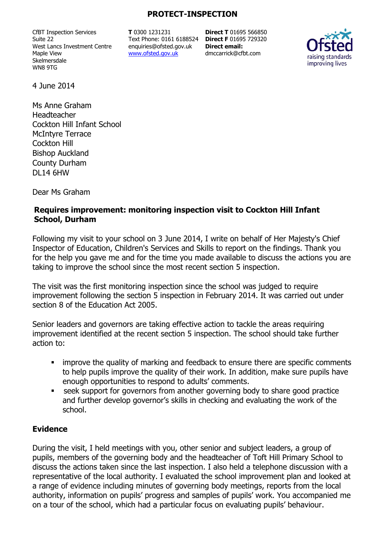#### **PROTECT-INSPECTION**

CfBT Inspection Services Suite 22 West Lancs Investment Centre Maple View Skelmersdale WN8 9TG

**T** 0300 1231231 Text Phone: 0161 6188524 **Direct F** 01695 729320 enquiries@ofsted.gov.uk www.ofsted.gov.uk

**Direct T** 01695 566850 **Direct email:**  dmccarrick@cfbt.com



4 June 2014

Ms Anne Graham Headteacher Cockton Hill Infant School McIntyre Terrace Cockton Hill Bishop Auckland County Durham DL14 6HW

Dear Ms Graham

#### **Requires improvement: monitoring inspection visit to Cockton Hill Infant School, Durham**

Following my visit to your school on 3 June 2014, I write on behalf of Her Majesty's Chief Inspector of Education, Children's Services and Skills to report on the findings. Thank you for the help you gave me and for the time you made available to discuss the actions you are taking to improve the school since the most recent section 5 inspection.

The visit was the first monitoring inspection since the school was judged to require improvement following the section 5 inspection in February 2014. It was carried out under section 8 of the Education Act 2005.

Senior leaders and governors are taking effective action to tackle the areas requiring improvement identified at the recent section 5 inspection. The school should take further action to:

- **EXT** improve the quality of marking and feedback to ensure there are specific comments to help pupils improve the quality of their work. In addition, make sure pupils have enough opportunities to respond to adults' comments.
- seek support for governors from another governing body to share good practice and further develop governor's skills in checking and evaluating the work of the school.

#### **Evidence**

During the visit, I held meetings with you, other senior and subject leaders, a group of pupils, members of the governing body and the headteacher of Toft Hill Primary School to discuss the actions taken since the last inspection. I also held a telephone discussion with a representative of the local authority. I evaluated the school improvement plan and looked at a range of evidence including minutes of governing body meetings, reports from the local authority, information on pupils' progress and samples of pupils' work. You accompanied me on a tour of the school, which had a particular focus on evaluating pupils' behaviour.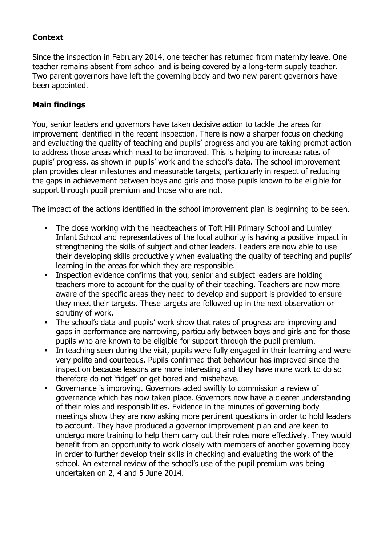# **Context**

Since the inspection in February 2014, one teacher has returned from maternity leave. One teacher remains absent from school and is being covered by a long-term supply teacher. Two parent governors have left the governing body and two new parent governors have been appointed.

## **Main findings**

You, senior leaders and governors have taken decisive action to tackle the areas for improvement identified in the recent inspection. There is now a sharper focus on checking and evaluating the quality of teaching and pupils' progress and you are taking prompt action to address those areas which need to be improved. This is helping to increase rates of pupils' progress, as shown in pupils' work and the school's data. The school improvement plan provides clear milestones and measurable targets, particularly in respect of reducing the gaps in achievement between boys and girls and those pupils known to be eligible for support through pupil premium and those who are not.

The impact of the actions identified in the school improvement plan is beginning to be seen.

- The close working with the headteachers of Toft Hill Primary School and Lumley Infant School and representatives of the local authority is having a positive impact in strengthening the skills of subject and other leaders. Leaders are now able to use their developing skills productively when evaluating the quality of teaching and pupils' learning in the areas for which they are responsible.
- **Inspection evidence confirms that you, senior and subject leaders are holding** teachers more to account for the quality of their teaching. Teachers are now more aware of the specific areas they need to develop and support is provided to ensure they meet their targets. These targets are followed up in the next observation or scrutiny of work.
- The school's data and pupils' work show that rates of progress are improving and gaps in performance are narrowing, particularly between boys and girls and for those pupils who are known to be eligible for support through the pupil premium.
- In teaching seen during the visit, pupils were fully engaged in their learning and were very polite and courteous. Pupils confirmed that behaviour has improved since the inspection because lessons are more interesting and they have more work to do so therefore do not 'fidget' or get bored and misbehave.
- Governance is improving. Governors acted swiftly to commission a review of governance which has now taken place. Governors now have a clearer understanding of their roles and responsibilities. Evidence in the minutes of governing body meetings show they are now asking more pertinent questions in order to hold leaders to account. They have produced a governor improvement plan and are keen to undergo more training to help them carry out their roles more effectively. They would benefit from an opportunity to work closely with members of another governing body in order to further develop their skills in checking and evaluating the work of the school. An external review of the school's use of the pupil premium was being undertaken on 2, 4 and 5 June 2014.